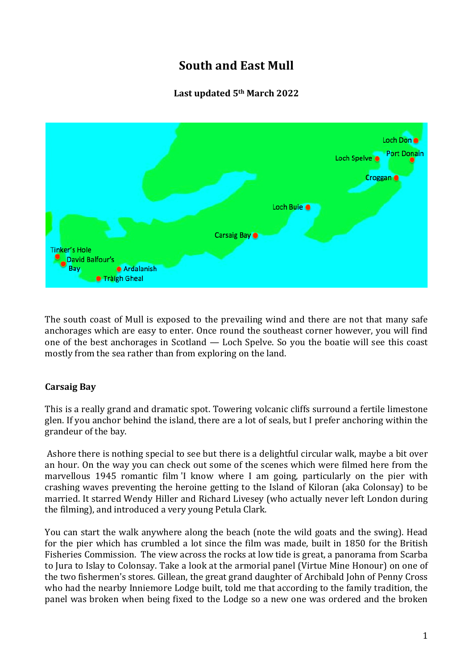# **South and East Mull**

# **Last updated 5th March 2022**



The south coast of Mull is exposed to the prevailing wind and there are not that many safe anchorages which are easy to enter. Once round the southeast corner however, you will find one of the best anchorages in Scotland — Loch Spelve. So you the boatie will see this coast mostly from the sea rather than from exploring on the land.

## **Carsaig Bay**

This is a really grand and dramatic spot. Towering volcanic cliffs surround a fertile limestone glen. If you anchor behind the island, there are a lot of seals, but I prefer anchoring within the grandeur of the bay.

Ashore there is nothing special to see but there is a delightful circular walk, maybe a bit over an hour. On the way you can check out some of the scenes which were filmed here from the marvellous 1945 romantic film 'I know where I am going, particularly on the pier with crashing waves preventing the heroine getting to the Island of Kiloran (aka Colonsay) to be married. It starred Wendy Hiller and Richard Livesey (who actually never left London during the filming), and introduced a very young Petula Clark.

You can start the walk anywhere along the beach (note the wild goats and the swing). Head for the pier which has crumbled a lot since the film was made, built in 1850 for the British Fisheries Commission. The view across the rocks at low tide is great, a panorama from Scarba to Jura to Islay to Colonsay. Take a look at the armorial panel (Virtue Mine Honour) on one of the two fishermen's stores. Gillean, the great grand daughter of Archibald John of Penny Cross who had the nearby Inniemore Lodge built, told me that according to the family tradition, the panel was broken when being fixed to the Lodge so a new one was ordered and the broken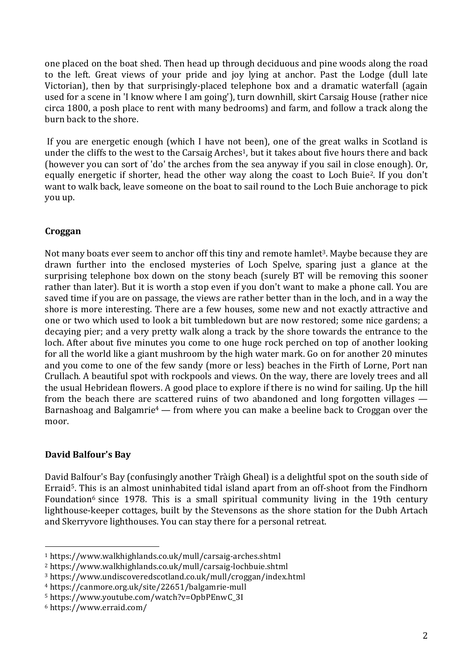one placed on the boat shed. Then head up through deciduous and pine woods along the road to the left. Great views of your pride and joy lying at anchor. Past the Lodge (dull late Victorian), then by that surprisingly-placed telephone box and a dramatic waterfall (again used for a scene in 'I know where I am going'), turn downhill, skirt Carsaig House (rather nice circa 1800, a posh place to rent with many bedrooms) and farm, and follow a track along the burn back to the shore.

If you are energetic enough (which I have not been), one of the great walks in Scotland is under the cliffs to the west to the Carsaig Arches<sup>1</sup>, but it takes about five hours there and back (however you can sort of 'do' the arches from the sea anyway if you sail in close enough). Or, equally energetic if shorter, head the other way along the coast to Loch Buie2. If you don't want to walk back, leave someone on the boat to sail round to the Loch Buie anchorage to pick you up.

## **Croggan**

Not many boats ever seem to anchor off this tiny and remote hamlet<sup>3</sup>. Maybe because they are drawn further into the enclosed mysteries of Loch Spelve, sparing just a glance at the surprising telephone box down on the stony beach (surely BT will be removing this sooner rather than later). But it is worth a stop even if you don't want to make a phone call. You are saved time if you are on passage, the views are rather better than in the loch, and in a way the shore is more interesting. There are a few houses, some new and not exactly attractive and one or two which used to look a bit tumbledown but are now restored; some nice gardens; a decaying pier; and a very pretty walk along a track by the shore towards the entrance to the loch. After about five minutes you come to one huge rock perched on top of another looking for all the world like a giant mushroom by the high water mark. Go on for another 20 minutes and you come to one of the few sandy (more or less) beaches in the Firth of Lorne, Port nan Crullach. A beautiful spot with rockpools and views. On the way, there are lovely trees and all the usual Hebridean flowers. A good place to explore if there is no wind for sailing. Up the hill from the beach there are scattered ruins of two abandoned and long forgotten villages — Barnashoag and Balgamrie4 — from where you can make a beeline back to Croggan over the moor.

## **David Balfour's Bay**

David Balfour's Bay (confusingly another Tràigh Gheal) is a delightful spot on the south side of Erraid<sup>5</sup>. This is an almost uninhabited tidal island apart from an off-shoot from the Findhorn Foundation<sup>6</sup> since 1978. This is a small spiritual community living in the 19th century lighthouse-keeper cottages, built by the Stevensons as the shore station for the Dubh Artach and Skerryvore lighthouses. You can stay there for a personal retreat.

<sup>1</sup> https://www.walkhighlands.co.uk/mull/carsaig-arches.shtml

<sup>2</sup> https://www.walkhighlands.co.uk/mull/carsaig-lochbuie.shtml

<sup>3</sup> https://www.undiscoveredscotland.co.uk/mull/croggan/index.html

<sup>4</sup> https://canmore.org.uk/site/22651/balgamrie-mull

<sup>5</sup> https://www.youtube.com/watch?v=OpbPEnwC\_3I

<sup>6</sup> https://www.erraid.com/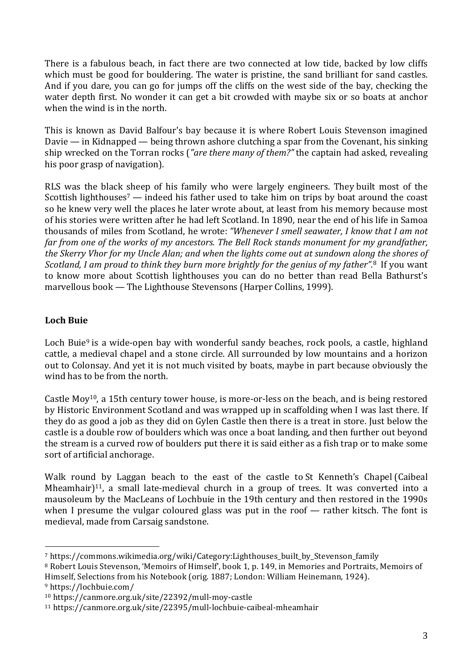There is a fabulous beach, in fact there are two connected at low tide, backed by low cliffs which must be good for bouldering. The water is pristine, the sand brilliant for sand castles. And if you dare, you can go for jumps off the cliffs on the west side of the bay, checking the water depth first. No wonder it can get a bit crowded with maybe six or so boats at anchor when the wind is in the north.

This is known as David Balfour's bay because it is where Robert Louis Stevenson imagined Davie — in Kidnapped — being thrown ashore clutching a spar from the Covenant, his sinking ship wrecked on the Torran rocks (*"are there many of them?"* the captain had asked, revealing his poor grasp of navigation).

RLS was the black sheep of his family who were largely engineers. They built most of the Scottish lighthouses<sup>7</sup> — indeed his father used to take him on trips by boat around the coast so he knew very well the places he later wrote about, at least from his memory because most of his stories were written after he had left Scotland. In 1890, near the end of his life in Samoa thousands of miles from Scotland, he wrote: *"Whenever I smell seawater, I know that I am not far from one of the works of my ancestors. The Bell Rock stands monument for my grandfather,* the Skerry Vhor for my Uncle Alan; and when the lights come out at sundown along the shores of *Scotland, I am proud to think they burn more brightly for the genius of my father".*<sup>8</sup> If you want to know more about Scottish lighthouses you can do no better than read Bella Bathurst's marvellous book — The Lighthouse Stevensons (Harper Collins, 1999).

#### **Loch Buie**

Loch Buie<sup>9</sup> is a wide-open bay with wonderful sandy beaches, rock pools, a castle, highland cattle, a medieval chapel and a stone circle. All surrounded by low mountains and a horizon out to Colonsay. And yet it is not much visited by boats, maybe in part because obviously the wind has to be from the north.

Castle Moy<sup>10</sup>, a 15th century tower house, is more-or-less on the beach, and is being restored by Historic Environment Scotland and was wrapped up in scaffolding when I was last there. If they do as good a job as they did on Gylen Castle then there is a treat in store. Just below the castle is a double row of boulders which was once a boat landing, and then further out beyond the stream is a curved row of boulders put there it is said either as a fish trap or to make some sort of artificial anchorage.

Walk round by Laggan beach to the east of the castle to St Kenneth's Chapel (Caibeal Mheamhair $]$ <sup>11</sup>, a small late-medieval church in a group of trees. It was converted into a mausoleum by the MacLeans of Lochbuie in the 19th century and then restored in the 1990s when I presume the vulgar coloured glass was put in the roof — rather kitsch. The font is medieval, made from Carsaig sandstone.

<sup>7</sup> https://commons.wikimedia.org/wiki/Category:Lighthouses\_built\_by\_Stevenson\_family

<sup>&</sup>lt;sup>8</sup> Robert Louis Stevenson, 'Memoirs of Himself', book 1, p. 149, in Memories and Portraits, Memoirs of Himself, Selections from his Notebook (orig. 1887; London: William Heinemann, 1924). <sup>9</sup> https://lochbuie.com/

<sup>10</sup> https://canmore.org.uk/site/22392/mull-moy-castle

<sup>11</sup> https://canmore.org.uk/site/22395/mull-lochbuie-caibeal-mheamhair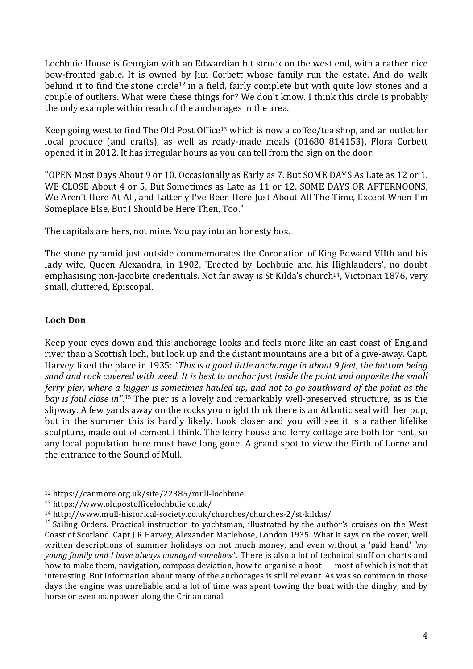Lochbuie House is Georgian with an Edwardian bit struck on the west end, with a rather nice bow-fronted gable. It is owned by Jim Corbett whose family run the estate. And do walk behind it to find the stone circle<sup>12</sup> in a field, fairly complete but with quite low stones and a couple of outliers. What were these things for? We don't know. I think this circle is probably the only example within reach of the anchorages in the area.

Keep going west to find The Old Post Office13 which is now a coffee/tea shop, and an outlet for local produce (and crafts), as well as ready-made meals (01680 814153). Flora Corbett opened it in 2012. It has irregular hours as you can tell from the sign on the door:

"OPEN Most Days About 9 or 10. Occasionally as Early as 7. But SOME DAYS As Late as 12 or 1. WE CLOSE About 4 or 5, But Sometimes as Late as 11 or 12. SOME DAYS OR AFTERNOONS, We Aren't Here At All, and Latterly I've Been Here Just About All The Time, Except When I'm Someplace Else, But I Should be Here Then, Too."

The capitals are hers, not mine. You pay into an honesty box.

The stone pyramid just outside commemorates the Coronation of King Edward VIIth and his lady wife, Queen Alexandra, in 1902, 'Erected by Lochbuie and his Highlanders', no doubt emphasising non-Jacobite credentials. Not far away is St Kilda's church<sup>14</sup>, Victorian 1876, very small, cluttered, Episcopal.

## **Loch Don**

Keep your eyes down and this anchorage looks and feels more like an east coast of England river than a Scottish loch, but look up and the distant mountains are a bit of a give-away. Capt. Harvey liked the place in 1935: *"This is a good little anchorage in about 9 feet, the bottom being* sand and rock covered with weed. It is best to anchor just inside the point and opposite the small ferry pier, where a lugger is sometimes hauled up, and not to go southward of the point as the *bay is foul close in"*. <sup>15</sup> The pier is a lovely and remarkably well-preserved structure, as is the slipway. A few yards away on the rocks you might think there is an Atlantic seal with her pup, but in the summer this is hardly likely. Look closer and you will see it is a rather lifelike sculpture, made out of cement I think. The ferry house and ferry cottage are both for rent, so any local population here must have long gone. A grand spot to view the Firth of Lorne and the entrance to the Sound of Mull.

<sup>12</sup> https://canmore.org.uk/site/22385/mull-lochbuie

<sup>13</sup> https://www.oldpostofficelochbuie.co.uk/

<sup>14</sup> http://www.mull-historical-society.co.uk/churches/churches-2/st-kildas/

<sup>&</sup>lt;sup>15</sup> Sailing Orders. Practical instruction to vachtsman, illustrated by the author's cruises on the West Coast of Scotland. Capt J R Harvey, Alexander Maclehose, London 1935. What it says on the cover, well written descriptions of summer holidays on not much money, and even without a 'paid hand' *"my young family and I have always managed somehow"*. There is also a lot of technical stuff on charts and how to make them, navigation, compass deviation, how to organise a boat — most of which is not that interesting. But information about many of the anchorages is still relevant. As was so common in those days the engine was unreliable and a lot of time was spent towing the boat with the dinghy, and by horse or even manpower along the Crinan canal.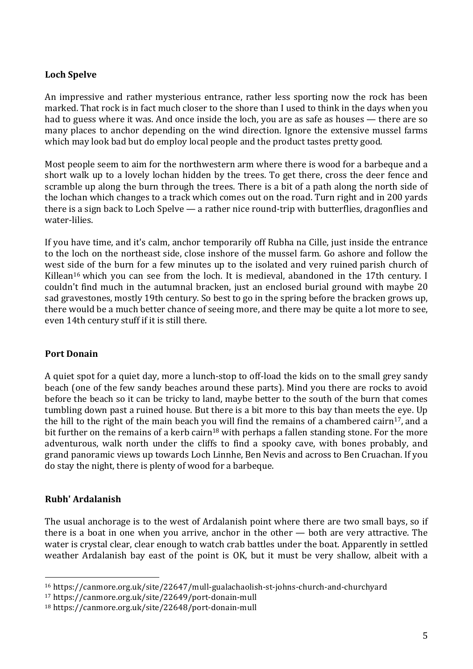## **Loch Spelve**

An impressive and rather mysterious entrance, rather less sporting now the rock has been marked. That rock is in fact much closer to the shore than I used to think in the days when you had to guess where it was. And once inside the loch, you are as safe as houses — there are so many places to anchor depending on the wind direction. Ignore the extensive mussel farms which may look bad but do employ local people and the product tastes pretty good.

Most people seem to aim for the northwestern arm where there is wood for a barbeque and a short walk up to a lovely lochan hidden by the trees. To get there, cross the deer fence and scramble up along the burn through the trees. There is a bit of a path along the north side of the lochan which changes to a track which comes out on the road. Turn right and in 200 yards there is a sign back to Loch Spelve — a rather nice round-trip with butterflies, dragonflies and water-lilies.

If you have time, and it's calm, anchor temporarily off Rubha na Cille, just inside the entrance to the loch on the northeast side, close inshore of the mussel farm. Go ashore and follow the west side of the burn for a few minutes up to the isolated and very ruined parish church of Killean<sup>16</sup> which you can see from the loch. It is medieval, abandoned in the 17th century. I couldn't find much in the autumnal bracken, just an enclosed burial ground with maybe 20 sad gravestones, mostly 19th century. So best to go in the spring before the bracken grows up, there would be a much better chance of seeing more, and there may be quite a lot more to see, even 14th century stuff if it is still there.

#### **Port Donain**

A quiet spot for a quiet day, more a lunch-stop to off-load the kids on to the small grey sandy beach (one of the few sandy beaches around these parts). Mind you there are rocks to avoid before the beach so it can be tricky to land, maybe better to the south of the burn that comes tumbling down past a ruined house. But there is a bit more to this bay than meets the eye. Up the hill to the right of the main beach you will find the remains of a chambered cairn<sup>17</sup>, and a bit further on the remains of a kerb cairn<sup>18</sup> with perhaps a fallen standing stone. For the more adventurous, walk north under the cliffs to find a spooky cave, with bones probably, and grand panoramic views up towards Loch Linnhe, Ben Nevis and across to Ben Cruachan. If you do stay the night, there is plenty of wood for a barbeque.

#### **Rubh' Ardalanish**

 

The usual anchorage is to the west of Ardalanish point where there are two small bays, so if there is a boat in one when you arrive, anchor in the other — both are very attractive. The water is crystal clear, clear enough to watch crab battles under the boat. Apparently in settled weather Ardalanish bay east of the point is OK, but it must be very shallow, albeit with a

<sup>16</sup> https://canmore.org.uk/site/22647/mull-gualachaolish-st-johns-church-and-churchyard

<sup>17</sup> https://canmore.org.uk/site/22649/port-donain-mull

<sup>18</sup> https://canmore.org.uk/site/22648/port-donain-mull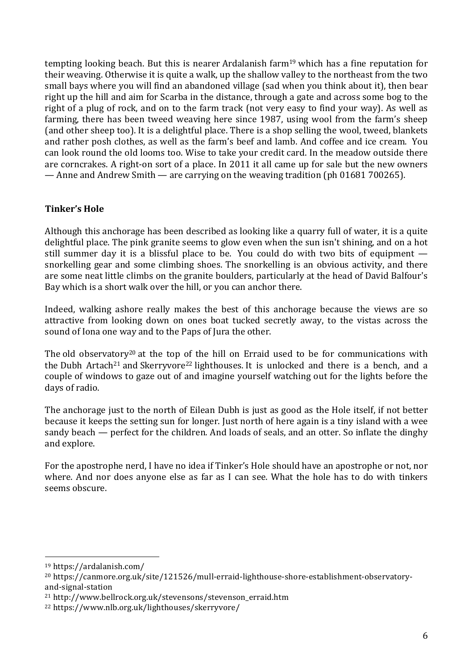tempting looking beach. But this is nearer Ardalanish farm19 which has a fine reputation for their weaving. Otherwise it is quite a walk, up the shallow valley to the northeast from the two small bays where you will find an abandoned village (sad when you think about it), then bear right up the hill and aim for Scarba in the distance, through a gate and across some bog to the right of a plug of rock, and on to the farm track (not very easy to find your way). As well as farming, there has been tweed weaving here since 1987, using wool from the farm's sheep (and other sheep too). It is a delightful place. There is a shop selling the wool, tweed, blankets and rather posh clothes, as well as the farm's beef and lamb. And coffee and ice cream. You can look round the old looms too. Wise to take your credit card. In the meadow outside there are corncrakes. A right-on sort of a place. In 2011 it all came up for sale but the new owners — Anne and Andrew Smith — are carrying on the weaving tradition (ph 01681 700265).

#### **Tinker's Hole**

Although this anchorage has been described as looking like a quarry full of water, it is a quite delightful place. The pink granite seems to glow even when the sun isn't shining, and on a hot still summer day it is a blissful place to be. You could do with two bits of equipment snorkelling gear and some climbing shoes. The snorkelling is an obvious activity, and there are some neat little climbs on the granite boulders, particularly at the head of David Balfour's Bay which is a short walk over the hill, or you can anchor there.

Indeed, walking ashore really makes the best of this anchorage because the views are so attractive from looking down on ones boat tucked secretly away, to the vistas across the sound of Iona one way and to the Paps of Jura the other.

The old observatory<sup>20</sup> at the top of the hill on Erraid used to be for communications with the Dubh Artach<sup>21</sup> and Skerryvore<sup>22</sup> lighthouses. It is unlocked and there is a bench, and a couple of windows to gaze out of and imagine yourself watching out for the lights before the days of radio.

The anchorage just to the north of Eilean Dubh is just as good as the Hole itself, if not better because it keeps the setting sun for longer. Just north of here again is a tiny island with a wee sandy beach — perfect for the children. And loads of seals, and an otter. So inflate the dinghy and explore.

For the apostrophe nerd, I have no idea if Tinker's Hole should have an apostrophe or not, nor where. And nor does anyone else as far as I can see. What the hole has to do with tinkers seems obscure.

<sup>19</sup> https://ardalanish.com/

<sup>20</sup> https://canmore.org.uk/site/121526/mull-erraid-lighthouse-shore-establishment-observatoryand-signal-station

<sup>21</sup> http://www.bellrock.org.uk/stevensons/stevenson\_erraid.htm

<sup>22</sup> https://www.nlb.org.uk/lighthouses/skerryvore/